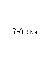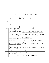# पगना सोपस्टोन प्रोजेक्ट-एक परिचय

पगना, सोपस्टोन प्रोजेक्ट ई0आई0ए0 अधिसूचना के संख्या 2006, 2009, 2011, 2012 तथा 2016 के अनुसार मुख्यतः बी 2 श्रेणी के प्रोजेक्ट है, माननीय हरित प्राधिकरण द्वारा प्रदत्त आदेषों के क्रम में प्रोजेक्ट बी 1 श्रेणी में सी0ई0आई0ए0ए उत्तराखण्ड (SEIAA-Uttarakhand) द्वारा टी0ओ0आर0 (ToR) दिनांक 18 फरवरी 2021 को जारी किया गया है।

| क्र0सं0        | तकनीकी मूल्यांकन/परीक्षण के        | विवरण                                                                       |  |  |
|----------------|------------------------------------|-----------------------------------------------------------------------------|--|--|
|                | बिन्द                              |                                                                             |  |  |
| 1.             | आवेदक ⁄ पट्टाधारक) का नाम व        | श्री जीतेन्द्र सिंह ऐठानी पुत्र श्री अमर सिंह ऐठानी, निवासी ग्राम-          |  |  |
|                | पता                                | बिजोरीझाल, तहसील एंव जिला –बागेश्वर, राज्य– उत्तराखण्ड                      |  |  |
| 2.             | आवेदित/स्वीकृत स्थल का विवरण       | ग्राम– पगना, तहसील एंव जिला – बागेश्वर, राज्य– उत्तराखण्ड                   |  |  |
| 3 <sub>l</sub> | आशयपत्र / शासनादेश की तिथि         | आशयपत्र संख्याः 1123 <b>/ VII</b> —1 <b>/</b> 2018 <b>/</b> 5 सोपस्टोन / 18 |  |  |
|                |                                    | दिनॉकः 16–जुलाई–2018                                                        |  |  |
| 4.             | सीमांकन आख्या का दिनांक एवं        | जिला अधिकारी के पत्र संख्याः                                                |  |  |
|                | खनन योग्य सीमांकित क्षेत्रफल       | 321 / तीस–07 / खनन / (1999–2000)16 / 18–19  दिनॉकः                          |  |  |
|                |                                    | 31-जुलाई-2018 के अनुसार सीमांकित खनन क्षेत्रफल 3.909 है0                    |  |  |
| 5 <sub>1</sub> | <u>प्रस्त</u> त खनन योजना जिला खान | खनन योजना जिला खान अधिकारी द्वारा सत्यापित की गयी है                        |  |  |
|                | अधिकारी से सत्यापित की गयी है      |                                                                             |  |  |
|                | कि नही                             |                                                                             |  |  |
| 6.             | आर0क्यू0पी0 जिसके द्वारा खनन       | आर0क्यू0पी0 का नाम – भुवन जोशी एंव पंजीकरण संख्याः                          |  |  |
|                | योजना तैयार की गयी है का नाम       | मु0ख0 / RQP/DDN/01/2016<br>वैधता<br>$28 - 12 - 2020$<br>से                  |  |  |
|                | एंव पंजीकरण का विवरण               | $27 - 12 - 2025$                                                            |  |  |
| 7 <sub>1</sub> | अवधि जिस हेतु खनन योजना            | प्रथम पॉच वर्षों हेत्                                                       |  |  |
|                | प्रस्तावित की गयी है।              |                                                                             |  |  |
| 8.             |                                    | भूविज्ञान और खनिज रिर्जव (Geology and Reserve)                              |  |  |
|                |                                    |                                                                             |  |  |

### अनुमोदित खनन योजना का संक्षिप्त सार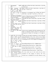| 1 <sub>1</sub> | प्राकृतिक<br>(Physiography)                                                                                                                                                                                       | प्राकृतिक भूगोल का विवरण खनन योजना के अध्याय संख्या 5 व पृष्ठ संख्या                                                                                                                                                                            |
|----------------|-------------------------------------------------------------------------------------------------------------------------------------------------------------------------------------------------------------------|-------------------------------------------------------------------------------------------------------------------------------------------------------------------------------------------------------------------------------------------------|
|                | भूगोल                                                                                                                                                                                                             | 9 में दिया गया है।                                                                                                                                                                                                                              |
| 2.             | भूविज्ञान<br>सतही<br>(Geology)<br>भविज्ञान मानचित्र 1:2000 / 1:1000<br>पैमाने पर सतही भविज्ञान<br>के<br>मानचित्र सम्मोच्च अंतराल के साथ                                                                           | भूविज्ञान का विवरण खनन योजना के अध्याय संख्या 5 व पृष्ठ संख्या 9 से<br>पृष्ठ संख्या 11 में किया गया है।                                                                                                                                         |
|                | निम्न विवरण का परीक्षण कर<br>टिप्पणी:-                                                                                                                                                                            | Disposition of all lithological units का विवरण खनन योजना के<br>अध्याय संख्या 5 व पृष्ठ संख्या 11 से पृष्ठ संख्या 12 में किया गया है।                                                                                                            |
| i.             | Disposition of all lithological<br>units with clear nomenclature<br>and their descriptions                                                                                                                        | Contacts of lithounits/rock types का विवरण खनन योजना के अध्याय<br>संख्या 5 व पृष्ठ संख्या 12 में किया गया है।                                                                                                                                   |
| ii.            | Contacts of lithounits/rock<br>types traced or inferred.                                                                                                                                                          | इसका विवरण खनन योजना के अध्याय संख्या 5 व पृष्ठ संख्या 12 में किया<br>गया है।                                                                                                                                                                   |
| 111.           | Attitudes like strike and dip<br>available<br>adequate<br>in<br>numbers.                                                                                                                                          | इसका विवरण खनन योजना के अध्याय संख्या 5 व पृष्ठ संख्या 12 में किया<br>गया है।                                                                                                                                                                   |
| iv.            | Structural features such as<br>joints folds, faults and their<br>attitudes.                                                                                                                                       | इसका विवरण खनन योजना के अध्याय संख्या 5 व पृष्ठ संख्या 12 में किया<br>गया है।                                                                                                                                                                   |
| V.             | Delineation<br>of<br>mineralized/ore Zones with<br>definite<br>demarcation<br>of<br>observed and inferred.                                                                                                        |                                                                                                                                                                                                                                                 |
| 3.             | पूर्व में किये गये खनिज अन्वेषण<br>का विवरण:                                                                                                                                                                      | In past, area are explored with three exploratory pits. The<br>details of exploration already carried out is discussed in<br>mining plan on Chapter no.5 and page no. 12 to page no.<br>13.                                                     |
| 4 <sup>1</sup> | प्रस्तावित किये जाने वाले खनिज<br>अन्वेषण का विवरण को खसरा<br>मानचित्र एवं KML मानचित्र पर<br>प्रदर्शित विवरण हेतु दिये गये<br>आधार का गुणदोष के अनुसार<br>प्राप्त होने वाले<br>परीक्षण कर<br>परिणामों पर टिप्पणी | In future the area shall be explored by 3 nos of trial pits<br>having diamension of 5m x 5m x 5m $\&$ 2 nos of Augur<br>Drill holes. The future exploration programme is discussed<br>in mining plan on खनन योजना Chapter no.5 and page no. 13. |
| 5.             | Reserve<br>Details<br>of<br>and                                                                                                                                                                                   | Proved Mineral Reserves $(111) = 168689$ Tonnes                                                                                                                                                                                                 |
|                | Calculatiors का निम्न बिन्दुओं                                                                                                                                                                                    | Probabale Mineral Reserves $(121) = 46498$ Tonnes                                                                                                                                                                                               |
|                | पर विस्तृत परीक्षण कर बिन्दुवार<br>टिप्पणी                                                                                                                                                                        | Inferred Mineral Reserves $(333) = 31714$ Tonnes                                                                                                                                                                                                |
|                | <b>Measured Mineral Reserves</b>                                                                                                                                                                                  | Feasibily Mineral Reserves $(211) = 59500$ Tonnes                                                                                                                                                                                               |
| 11.            | <b>Indicated Mineral Reserves</b>                                                                                                                                                                                 | Prefeasibilty Mineral Reserves $(222) = 33694$ Tonnes                                                                                                                                                                                           |
| iii.<br>1V.    | <b>Blocked Measured Mineral</b><br>Block<br>Indicated<br>Mineral                                                                                                                                                  | The cross section area of each section line has been                                                                                                                                                                                            |
|                | Reserve in safety Barrier &                                                                                                                                                                                       | calculated for each category of reserves. The cross                                                                                                                                                                                             |
|                | Ultimate pit level.<br>v. Ultimate pit level पहुच के                                                                                                                                                              | sectional area is multiplied by the strike influence to get                                                                                                                                                                                     |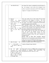| कारण अंकित किये जाये।                                     | the volume. The volume is multiplied by the bulk density to                                                  |
|-----------------------------------------------------------|--------------------------------------------------------------------------------------------------------------|
|                                                           | the tonnage in each section line Geological cross<br>get                                                     |
|                                                           | section is enclosed as discussed on (खनन योजना Chapter no                                                    |
|                                                           | 5 page no.17 to page no.20 and Plate no.5)                                                                   |
|                                                           |                                                                                                              |
|                                                           |                                                                                                              |
|                                                           |                                                                                                              |
|                                                           |                                                                                                              |
| Reserve<br>6.                                             | The cross section area of each section line has been                                                         |
| Method<br>of<br>Reserve<br>i.                             | calculated for each category of reserves.<br>The cross                                                       |
| Estimation का तरीका प्रकार                                | sectional area is multiplied by the strike influence to get                                                  |
| की गणना<br>ii. Proved Reserve                             | the volume. The volume is multiplied by the bulk density                                                     |
| तरीका एवं प्रकार                                          | to get the tonnage in each section line.<br>60m horizontal distance<br>from<br>habitation<br>has<br>been     |
| खनन योग्य खनिज की गणना का<br>iii.<br>तरीका एवं प्रकार     | considered under restricted zone for mining & beyond this                                                    |
| iv. Blocked खनिज<br>विस्तृत<br>का                         | limit up to lease boundary $\&$ 9m depth from the surface                                                    |
| के<br>विवरण एवं प्रकार गहराई                              | have been considered as proved mineral reserves.                                                             |
| अनुसार                                                    | The 45 degree slope has been drawn from ultimate pit                                                         |
|                                                           | limit. The proved and probable reserves has been                                                             |
|                                                           | computed with in ultimate slopes. Therfore, the total<br>proved and probable reserves has been considered as |
|                                                           | mineable reserves.                                                                                           |
|                                                           | का विस्तृत विवरण Feasibility<br>Blocked खनिज<br>Mineral                                                      |
|                                                           | Resources (211) और Prefeasibility Mineral Resources (222)                                                    |
|                                                           | में किया गया है। एंव इन की गहराई 9m और 3m ली गई है।                                                          |
|                                                           | (Chapter no 5 page no.17 to page no.20 and Plate no.5)                                                       |
| 7. खनिज की उपलब्धता : ग्रेड                               | Whiteness of soapstone is 88% to 92% is being used in                                                        |
| ग्रेड का आधार<br>8.                                       | soapstone, detergent & paper industries.                                                                     |
| प्राप्त आकडों का परीक्षण कर<br>टिप्पणी                    |                                                                                                              |
|                                                           |                                                                                                              |
| की<br>अनुमति<br>आयु<br>9.<br>खान                          | Total reserves come out 168689 tonnes envisaged rate of                                                      |
| (Anticipated life of Mine)                                | production of soapstone<br>14821<br>tonnes/annum.<br>The<br>anticipated life of mine comes out 11 year.      |
| estimated life, खनिज भण्डारण<br>के आधार पर उपलब्ध data के |                                                                                                              |
| आधार पर, गहराई के आधार पर व                               |                                                                                                              |
| क्षेत्रफल के आधार पर आगणित                                |                                                                                                              |
| कर विस्तारपूर्वक परीक्षण                                  |                                                                                                              |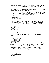|    | 10. खनिज अन्वेषण कार्य हेतु लगाये<br>गये भूवैज्ञानिक का विवरण का<br>परीक्षण                                                                                                                                                                                                                                                         | Exploration in the area was carried out by Shri Jitendra Singh<br>Aithani under gidens of District Task Force Geologist.                                                                                                                        |
|----|-------------------------------------------------------------------------------------------------------------------------------------------------------------------------------------------------------------------------------------------------------------------------------------------------------------------------------------|-------------------------------------------------------------------------------------------------------------------------------------------------------------------------------------------------------------------------------------------------|
|    | 11. क्षेत्र का<br>मानचित्र<br>खसरा<br>पर<br>निम्नानुसार चिन्हित सूचना<br>का                                                                                                                                                                                                                                                         | All surface features are marked on khasra map.<br>$\mathbf{i}$<br>(Annexure no. 5)                                                                                                                                                              |
|    | परीक्षण<br>प्रस्तावित खनन क्षेत्र के समस्त<br>$\mathbf{i}$ .<br>Surface features.<br>प्रस्तावित खनन क्षेत्र की 500<br>ii.<br>मी0 की परिधि के समस्त खनन<br>क्षेत्रों एवं<br>अन्य<br>समस्त                                                                                                                                            | ii) No other mining area falls with in 500m periphery of<br>applied area. Other surface features with in 500m is<br>marked on khasra map (Plate no. 2).                                                                                         |
|    | Surface features.                                                                                                                                                                                                                                                                                                                   |                                                                                                                                                                                                                                                 |
|    | 12. यदि ड्रिलिंग मशीन से न्यूनतम 5<br>है0 तक खनन पट्टा क्षेत्र का<br>क्षेत्रफल Core ड्रिल हेतु होल<br>न्यूनतम 30 मीटर गहराई के मानक<br>के अनुसार प्रतिवर्ष के आधार पर<br>अर्थात प्रत्येक 5 है0 का पालन<br>खनिज अन्वेषण हेतु नही किया<br>गया है तो खनन कार्य हेतु ट्रेक्टर<br>Mounted या Chain Mounted<br>Excavator की अनुमति न दिये | At present the area is not approachable by approach road.<br>The approach road is about 1.5km away from applied area<br>therefore drilling programme could not be implemented.                                                                  |
|    | जाने का परीक्षण<br>13. विगत अवधि के उल्लंघनों पर की                                                                                                                                                                                                                                                                                 | Not applicable as it is fresh grant case of mining lease.                                                                                                                                                                                       |
|    | गयी कार्यवाही का परीक्षण टिप्पणी                                                                                                                                                                                                                                                                                                    |                                                                                                                                                                                                                                                 |
|    | कोई<br>बिन्दु<br>प्रख्यापित<br>14. अन्य<br>नियमावलियों<br>या<br>मा0<br>न्यायालयों / प्रधिकरणों से सम्बन्धी<br>हो उसके अनुसार ड्राफ्ट योजना में<br>सम्मलित करते हुये टिप्पणी                                                                                                                                                         | Not applicable as mining operations yet to be commenced                                                                                                                                                                                         |
| 9. |                                                                                                                                                                                                                                                                                                                                     | खनन विधा के नामित खनन अभियन्ता द्वारा प्रस्तुत ड्राप्ट खनन योजना, ड्राप्ट स्कीम आफ माईनिंग, ड्राप्ट<br>संशोधित स्कीम आफ माईनिंग ड्राप्ट प्रगतिशील खान बन्द करने की योजना, ड्राप्ट अंतिम खान बन्द करने<br>की योजना, की निम्न बिन्दुओं पर टिप्पणी |
|    | आवासीय मकान, सडक, पहुच  <br>मार्ग, खच्चर मार्ग, विद्युत लाईन  <br>धार्मिक स्थल आदि के कारण<br>खनन न किये जाने वाले क्षेत्रों का<br>उल्लेख करते हुये Blocked<br>Mineral Resource Reserve<br>का विस्तृत विवरण                                                                                                                         | 1. खनन क्षेत्र में प्रतिबन्धित क्षेत्रों यथा   खनन क्षेत्र में प्रतिबन्धित क्षेत्रों यथा आवासीय मकान, सडक, पहुच मार्ग,<br>खच्चर मार्ग, विद्युत लाईन धार्मिक स्थल आदि इस प्रकार का<br>कोई<br>प्रतिबन्धित क्षेत्र नहीं है।                        |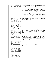| 2. | ओवर वर्डन की उपलब्धता, ओवर<br>वर्डन में सम्मलित किये जाने का<br>आधार सम्पूर्ण रसायनिक विश्लेषण<br>के साथ) का परीक्षण                                                                                                                                                                                                                                  | The top soil from the working benches will be removed by<br>means of an excavator and stacked separately and used for<br>backfilling from second year onwards. The interburden is<br>low grade magnesite and shall be removed manual means<br>and to be dumped separately and used for backfilling from<br>third year onwards. The top soil and interburden material<br>will be dumped separately on mineralized land, but these<br>dumps are temporary in nature and it will be used in<br>reclamation purpose and discussed on (chapter no 6 page<br>no.30) |
|----|-------------------------------------------------------------------------------------------------------------------------------------------------------------------------------------------------------------------------------------------------------------------------------------------------------------------------------------------------------|---------------------------------------------------------------------------------------------------------------------------------------------------------------------------------------------------------------------------------------------------------------------------------------------------------------------------------------------------------------------------------------------------------------------------------------------------------------------------------------------------------------------------------------------------------------|
| 3. | योजना / स्कीम<br>आफ<br>खनन<br>माईनिंग में पूर्व में किये गये खनन<br>क्षेत्रों का विवरण यथा स्थान खनन<br>स्थान (भरान किये गये<br>स्थान<br>डम्पिंग जोन आदि) के<br>स्पष्ट<br>उल्लेख के साथ ही प्रयुक्त किये<br>जाने वाले Excavtor आदि मशीन<br>की क्षमता working plan का<br>स्पष्ट विवरण                                                                  | It is fresh grant case of mining lease $\&$ in past no mining<br>activities was carried out.                                                                                                                                                                                                                                                                                                                                                                                                                                                                  |
| 4. | खनन की बैन्च की ऊचाई, चौडाई,<br>खसरा विवरण, मालिक के नाम के<br>साथ खसरा मानचित्र पर  प्रथम<br>वर्ष एवं अनुवर्ती वर्ष का विवरण<br>पृथक–पृथक रंगों से मानचित्र पर<br>दर्शाते हुए                                                                                                                                                                        | खनन की बैन्च की ऊचाई 3 m व चौडाई 3 m है, व पट्टाधारक का नाम<br>श्री जीतेन्द्र सिंह ऐठानी पुत्र श्री अमर सिंह ऐठानी, एव खसरा मानचित्र पर<br>अनुवर्ती वर्ष का विवरण पृथक–पृथक रंगों से प्लेट संख्या 6 से प्लेट संख्या<br>10 तक मानचित्र पर दर्शाया है।                                                                                                                                                                                                                                                                                                          |
| 5. | ओवर वर्डन डम्पिंग का स्थान<br>क्षेत्र<br>सीमा<br>(Mining)<br>खनन<br>lease) के अन्दर होना आवश्यक<br>है। ओवर वर्डन डम्पं का खसरा<br>विवरण, खसरा मानचित्र विवरण<br>मात्रा (टन में)<br>सहित विस्तृत<br>विवरण                                                                                                                                              | All quantities of interburden $+OB$ (waste material) to be<br>generated each year shall be dumped with in lease area and<br>spread and height of dump along with its quantity depicted<br>on khasra map and discussed on (CHAPTER NO 6 PAGE<br>NO.30)                                                                                                                                                                                                                                                                                                         |
| 6. | यदि ड्रिलिंग मशीन से न्यूनतम 5<br>है0 तक खनन पट्टा क्षेत्र का<br>क्षेत्रफल Core ड्रिल हेतु होल<br>न्यूनतम 30 मीटर गहराई के<br>मानक के अनुसार प्रतिवर्ष के<br>आधार पर अर्थात प्रत्येक 5 है0<br>का पालन खनिज अन्वेषण हेतु<br>नही किया गया है तो खनन कार्य<br>हेतु ट्रेक्टर Mounted या Chain<br>की<br>Mounted Excavator<br>अनुमति न दिये जाने का परीक्षण | At present the area is not approachable by approach road.<br>The approach road is about 1.5km away from applied area<br>there fore drilling programme could not be implemented.                                                                                                                                                                                                                                                                                                                                                                               |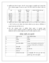$\triangleright$  अनुमोदित खनन योजना के अनुसार पॉच वर्षों तक कुल 14,821 टन अनुमानित मात्रा में उत्पादन किया जाना है, अधिकतम 57,033 टन उत्पादन का लक्ष्य है। पॉच वर्षों का विवरण निम्न तालिका में दर्षाया गया है।

| वर्षा        | प्रथम पिट<br>(cum) | द्वितिय पिट<br>(cum) | सोपस्टोन की बिक्री<br>योग्य मात्रा<br>(टन) |
|--------------|--------------------|----------------------|--------------------------------------------|
| प्रथम वर्षे  | 4326               | 3396                 | 7722                                       |
| द्वितिय वर्ष | 7166               | 2560                 | 9726                                       |
| वर्ष<br>ततीय | 6313               | 5388                 | 11701                                      |
| चतुर्थ वर्षे | 7611               | 5452                 | 13063                                      |
| पचम वर्ष     | 8206               | 6615                 | 14821                                      |
| कुल          | 33622              | 23411                | 57033                                      |

→ अनुमोदित खनन योजना पर पर्यावरण स्वीकृति हेतु आवदेन करने पर छ्ळ्छ के निदेषों के क्रम में प्रोजेक्ट को <sub>ठ1</sub> श्रेणी में मानते हुए, राज्य पर्यावरण प्रभाव आंकलन प्राधीकरण द्वारा ई0 आई0 ए0 नोटिफिकेसन के अनुसार टी0 ओ0 आर0 जारी किया गया है।

लीज उत्तराखण्ड शासन, के औद्योगिक विकास अनुभाग, के शासनादेश संख्या  $\triangleright$  खनन 1123 / VII-1 / 2018 / 5 सोपस्टोन / 18 दिनॉकः 16-जुलाई-2018 के आधार पर अग्रिम 25 वर्षों हेतु विस्तारित की जानी है एवं पर्यावरण स्वीकृति प्राप्त हो जाने पर अग्रिम कार्यवाही की जानी है।

## प्रोजेक्ट संबंधी अन्य सूचनायें

|                | प्रोजेक्ट का नाम       | पगना, सोपस्टोन प्रोजेक्ट                      |  |
|----------------|------------------------|-----------------------------------------------|--|
| अ              | ग्राम                  | पगना                                          |  |
| आ              | तहसील                  | बागेश्वर                                      |  |
| इ              | जनपद                   | बागेश्वर                                      |  |
| ई              | लीज एरिया कोर्डिनेट    | Latitude: 29°47'20.80"N to 29°47'24.53"N      |  |
|                |                        | Longitude: 79°48'12.80"E to 79°48'8.62"E      |  |
| $\overline{B}$ | लीज अवधि               | 25 वर्ष                                       |  |
| ऊ              | प्रस्तावित मूल्य       | 35 लाख मात्र                                  |  |
| ए              | मानव श्रम              | 40                                            |  |
| एँ             | पानी की मांग एवं स्रोत | के0एल0डी0 पीने तथा धूल<br>हटाने<br>तथा<br>4.0 |  |
|                |                        | वृक्षारोपण हेतु, पानी के स्रोत प्राकृतिक      |  |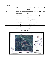#### परियोजना स्थल



### पारयाजना स्थल का मानाचत्र

| २ पर्यावरणीय   |                           |                                                 |  |  |  |
|----------------|---------------------------|-------------------------------------------------|--|--|--|
| अ              | आकार                      | ऊँचाई अधिकतम 945 मी0 तथा न्यूनमत ऊँचाई          |  |  |  |
|                |                           | 848 मी0                                         |  |  |  |
| आ              | नजदीकी राज्य राजमार्ग तथा | राष्ट्रीय राजमार्ग– ०९  से ४.७8 कि०मी०<br>उत्तर |  |  |  |
|                | राष्ट्रीय राजमार्ग        | दक्षिण में                                      |  |  |  |
| इ              | नजदीकी रेलवे स्टेशन       | काठगोदाम 90 कि0मी0 हवाई दूरी<br>दक्षिण          |  |  |  |
|                |                           | पष्चिम में                                      |  |  |  |
| ई              | नजदीकी हवाई अड्डा         | पिथौरागढ़ 35 कि0मी0 हवाई दूरी                   |  |  |  |
| $\overline{B}$ | वाईल्ड लाईफ सेन्चुरी      | 10 कि0मी0 के दायरे में नहीं है।                 |  |  |  |
| ऊ              | नजदीकी शहर                | बागेश्वर 21.00 कि0मी0                           |  |  |  |
| ए              | नजदीकी नदी                | सरयू नदी                                        |  |  |  |
| एँ             | भूकम्पीय जोन              | जोन 5                                           |  |  |  |
| $\overline{H}$ |                           |                                                 |  |  |  |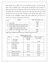उपरोक्त प्रस्तावित खदान का माईनिंग प्लान भू तत्व एवं खनिकर्म इकाई उत्तराखण्ड के पत्र संख्या 1718 मुख्य खनिज-/स्की0-72/भू0खनि0ई0/2016-17, दिनांक 25.08.2021 द्वारा स्वीकृत किया जा चुका है, प्रोजेक्ट के 10 कि0मी0 अंतर्गत कोई भी नेषनल पार्क, वाइल्ड लाइफ सेन्चुरी तथा कोर जोन नहीं आता है। माइन में कार्य करने हेतु सेमी मेकेनाईज्ड पद्वति से कार्य किया जायेगा, 3 मी ऊंची बेन्च का निर्माण किया जायेगा ऊपरी सतह में निकाली गई मिट्टी को डंप यार्ड में रखा जायेंगा खदान में विस्फोटको का प्रयोग नहीं किया जायेगा। वृक्षारोपण का कार्य जिला प्रशासन तथा अन्य जनपतिनिधियों के सहयोग से किया जायेगा। प्रस्तावित खदान में बेस लाइन डाटा का कार्य मार्च 2021 से मई 2021 में मानसून पूर्व काल में किया गया है।

|                | गतिविधियां                                           | आवंटित निधि (एलोकेशन फण्ड)           |
|----------------|------------------------------------------------------|--------------------------------------|
| क्र0स0         |                                                      |                                      |
|                |                                                      | (लाख में)                            |
|                | स्वास्थ्य षिविर                                      | 0.92                                 |
| $\overline{2}$ | सरकारी स्कूलों में षौचालयों की मरम्मत कार्यों के लिए | 1.38                                 |
| 3              | गुणवान लड़कियों में किताब और कॉपी बाँटने के लिए      | 0.27                                 |
|                | अनुसुचित जाति व जनजाति के बच्चों के लिए।             |                                      |
| 4              | प्रस्तावित गांव में सरकारी स्कूल की मरम्मत के लिए।   | 0.92                                 |
|                | ণ্গুপ                                                | 3.50                                 |
| $\sim$         | $\sim$<br>$\sim$<br>$\sim$                           | $\mathcal{N}$<br>$\sim$<br>$\bullet$ |

प्रस्तावित खदान में पर्यावरणीय सुरक्षा हेतु निम्न प्रकार से धनराशि का आवंटन किया गया है।

| पयावरणाय | सरक्षा | sч | १७५ |
|----------|--------|----|-----|

| क्र0स0 | उपाय                                   | कैपिटल मूल्य (रूपये में) | रिकरिंग मूल्य (रूपये में) |
|--------|----------------------------------------|--------------------------|---------------------------|
|        |                                        | (प्रथम वर्ष)             | (बाद के सालों)            |
| 1.     | प्रदूशण नियंत्रण                       | 1,00,000                 |                           |
|        | ≻धूल निलंबन                            |                          | 1,00,000                  |
| 2.     | प्रदूषण की निगरानी                     |                          |                           |
|        | i) वायु प्रदूषण                        | 1,00,000                 | 1,00,000                  |
|        | ii) जल प्रदूषण                         | 60,000                   | 60,000                    |
|        | iii) मृदा प्रदूषण<br>iv) ध्वनि प्रदूषण | 40,000                   | 40,000                    |
|        |                                        | 20,000                   | 20,000                    |
| 3.     | पौधारोपण और ग्रीन बेल्ट                | 3,67,875                 | 6,67,875                  |
| 4.     | खनन क्षेत्र का उद्धार                  |                          | 10,09,380                 |
| 5.     | व्यावसायिक स्वास्थ्य                   | 1,00,000                 | 50,000                    |